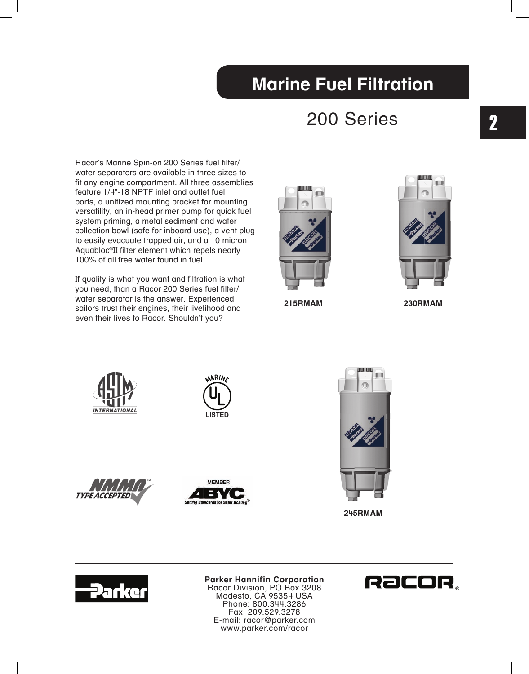### 200 Series

Racor's Marine Spin-on 200 Series fuel filter/ water separators are available in three sizes to fit any engine compartment. All three assemblies feature 1/4"-18 NPTF inlet and outlet fuel ports, a unitized mounting bracket for mounting versatility, an in-head primer pump for quick fuel system priming, a metal sediment and water collection bowl (safe for inboard use), a vent plug to easily evacuate trapped air, and a 10 micron Aquabloc®II filter element which repels nearly 100% of all free water found in fuel.

If quality is what you want and filtration is what you need, than a Racor 200 Series fuel filter/ water separator is the answer. Experienced sailors trust their engines, their livelihood and even their lives to Racor. Shouldn't you?



 **215RMAM 230RMAM**















**Parker Hannifin Corporation** Racor Division, PO Box 3208 Modesto, CA 95354 USA Phone: 800.344.3286 Fax: 209.529.3278 E-mail: racor@parker.com www.parker.com/racor

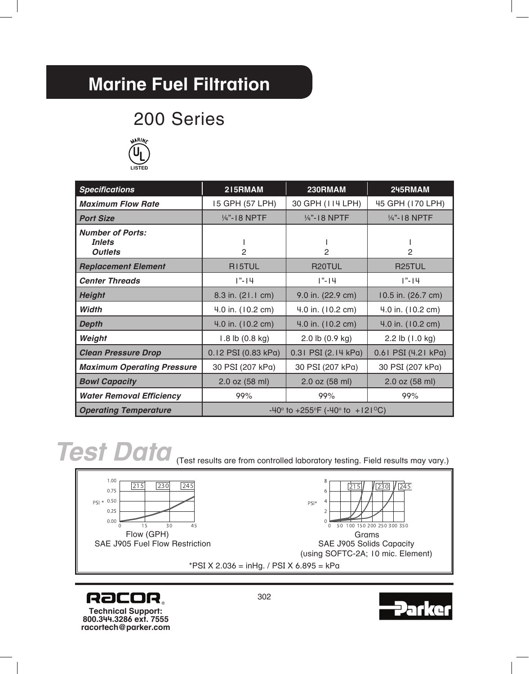### 200 Series



| <b>Specifications</b>                                      | 215RMAM                                                               | 230RMAM             | 245RMAM             |
|------------------------------------------------------------|-----------------------------------------------------------------------|---------------------|---------------------|
| <b>Maximum Flow Rate</b>                                   | 15 GPH (57 LPH)                                                       | 30 GPH (114 LPH)    | 45 GPH (170 LPH)    |
| <b>Port Size</b>                                           | 1/4"-18 NPTF                                                          | 1/4"-18 NPTF        | 14"-18 NPTF         |
| <b>Number of Ports:</b><br><i>Inlets</i><br><b>Outlets</b> | $\mathcal{P}$                                                         | 2                   | 2                   |
| <b>Replacement Element</b>                                 | RI5TUL                                                                | R20TUL              | R <sub>25</sub> TUL |
| <b>Center Threads</b>                                      | $1" - 14$                                                             | $1" - 14$           | $1" - 14$           |
| <b>Height</b>                                              | 8.3 in. (21.1 cm)                                                     | 9.0 in. (22.9 cm)   | 10.5 in. (26.7 cm)  |
| Width                                                      | 4.0 in. (10.2 cm)                                                     | 4.0 in. (10.2 cm)   | 4.0 in. (10.2 cm)   |
| <b>Depth</b>                                               | 4.0 in. (10.2 cm)                                                     | 4.0 in. (10.2 cm)   | 4.0 in. (10.2 cm)   |
| Weight                                                     | $1.8$ lb $(0.8$ kg)                                                   | 2.0 lb (0.9 kg)     | 2.2 lb (1.0 kg)     |
| <b>Clean Pressure Drop</b>                                 | 0.12 PSI (0.83 kPa)                                                   | 0.31 PSI (2.14 kPa) | 0.61 PSI (4.21 kPa) |
| <b>Maximum Operating Pressure</b>                          | 30 PSI (207 kPa)                                                      | 30 PSI (207 kPa)    | 30 PSI (207 kPa)    |
| <b>Bowl Capacity</b>                                       | 2.0 oz (58 ml)                                                        | 2.0 oz (58 ml)      | 2.0 oz (58 ml)      |
| <b>Water Removal Efficiency</b>                            | 99%                                                                   | 99%                 | 99%                 |
| <b>Operating Temperature</b>                               | $-40^{\circ}$ to $+255^{\circ}F$ ( $-40^{\circ}$ to $+121^{\circ}C$ ) |                     |                     |

## *Test Data*

(Test results are from controlled laboratory testing. Field results may vary.)





**RaCOR. Technical Support: 800.344.3286 ext. 7555 racortech@parker.com**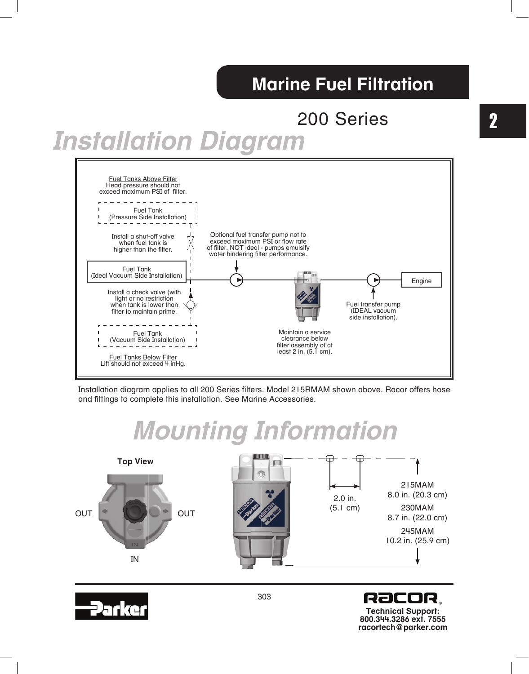### 200 Series

# *Installation Diagram*



Installation diagram applies to all 200 Series filters. Model 215RMAM shown above. Racor offers hose and fittings to complete this installation. See Marine Accessories.

# *Mounting Information*







**Technical Support: 800.344.3286 ext. 7555 racortech@parker.com**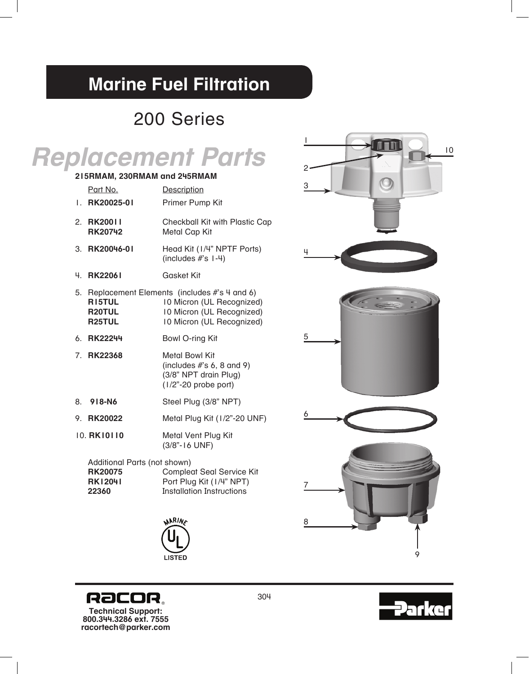### 200 Series

|                              |                                                                           | <b>Replacement Parts</b>                                                                                                              | 2 |
|------------------------------|---------------------------------------------------------------------------|---------------------------------------------------------------------------------------------------------------------------------------|---|
| 215RMAM, 230RMAM and 245RMAM |                                                                           |                                                                                                                                       | 3 |
|                              | Part No.                                                                  | Description                                                                                                                           |   |
| Ι.                           | RK20025-01                                                                | Primer Pump Kit                                                                                                                       |   |
|                              | 2. RK20011<br><b>RK20742</b>                                              | Checkball Kit with Plastic Cap<br><b>Metal Cap Kit</b>                                                                                |   |
|                              | 3. RK20046-01                                                             | Head Kit (1/4" NPTF Ports)<br>(includes $#s$ I-4)                                                                                     | 4 |
| 4.                           | <b>RK22061</b>                                                            | <b>Gasket Kit</b>                                                                                                                     |   |
|                              | R <sub>15</sub> TUL<br>R20TUL<br>R <sub>25</sub> TUL                      | 5. Replacement Elements (includes #'s 4 and 6)<br>10 Micron (UL Recognized)<br>10 Micron (UL Recognized)<br>10 Micron (UL Recognized) |   |
|                              | 6. RK22244                                                                | Bowl O-ring Kit                                                                                                                       | 5 |
|                              | 7. RK22368                                                                | <b>Metal Bowl Kit</b><br>(includes $#s 6, 8$ and 9)<br>(3/8" NPT drain Plug)<br>$(1/2" - 20$ probe port)                              |   |
| 8.                           | 918-N6                                                                    | Steel Plug (3/8" NPT)                                                                                                                 |   |
|                              | 9. RK20022                                                                | Metal Plug Kit (1/2"-20 UNF)                                                                                                          | 6 |
|                              | 10. RK10110                                                               | Metal Vent Plug Kit<br>$(3/8" - 16$ UNF)                                                                                              |   |
|                              | Additional Parts (not shown)<br><b>RK20075</b><br><b>RK12041</b><br>22360 | <b>Compleat Seal Service Kit</b><br>Port Plug Kit (1/4" NPT)<br><b>Installation Instructions</b>                                      |   |
|                              |                                                                           | WARING                                                                                                                                | 8 |
|                              |                                                                           | <b>LISTED</b>                                                                                                                         |   |

**Technical Support: 800.344.3286 ext. 7555 racortech@parker.com**

**RaCOR.** 





9

304